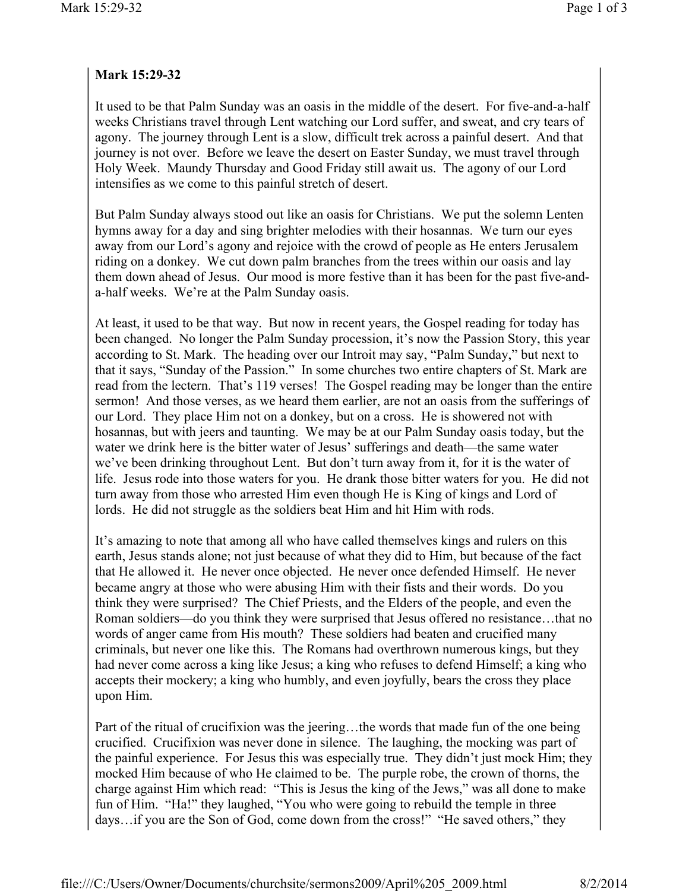## **Mark 15:29-32**

It used to be that Palm Sunday was an oasis in the middle of the desert. For five-and-a-half weeks Christians travel through Lent watching our Lord suffer, and sweat, and cry tears of agony. The journey through Lent is a slow, difficult trek across a painful desert. And that journey is not over. Before we leave the desert on Easter Sunday, we must travel through Holy Week. Maundy Thursday and Good Friday still await us. The agony of our Lord intensifies as we come to this painful stretch of desert.

But Palm Sunday always stood out like an oasis for Christians. We put the solemn Lenten hymns away for a day and sing brighter melodies with their hosannas. We turn our eyes away from our Lord's agony and rejoice with the crowd of people as He enters Jerusalem riding on a donkey. We cut down palm branches from the trees within our oasis and lay them down ahead of Jesus. Our mood is more festive than it has been for the past five-anda-half weeks. We're at the Palm Sunday oasis.

At least, it used to be that way. But now in recent years, the Gospel reading for today has been changed. No longer the Palm Sunday procession, it's now the Passion Story, this year according to St. Mark. The heading over our Introit may say, "Palm Sunday," but next to that it says, "Sunday of the Passion." In some churches two entire chapters of St. Mark are read from the lectern. That's 119 verses! The Gospel reading may be longer than the entire sermon! And those verses, as we heard them earlier, are not an oasis from the sufferings of our Lord. They place Him not on a donkey, but on a cross. He is showered not with hosannas, but with jeers and taunting. We may be at our Palm Sunday oasis today, but the water we drink here is the bitter water of Jesus' sufferings and death—the same water we've been drinking throughout Lent. But don't turn away from it, for it is the water of life. Jesus rode into those waters for you. He drank those bitter waters for you. He did not turn away from those who arrested Him even though He is King of kings and Lord of lords. He did not struggle as the soldiers beat Him and hit Him with rods.

It's amazing to note that among all who have called themselves kings and rulers on this earth, Jesus stands alone; not just because of what they did to Him, but because of the fact that He allowed it. He never once objected. He never once defended Himself. He never became angry at those who were abusing Him with their fists and their words. Do you think they were surprised? The Chief Priests, and the Elders of the people, and even the Roman soldiers—do you think they were surprised that Jesus offered no resistance…that no words of anger came from His mouth? These soldiers had beaten and crucified many criminals, but never one like this. The Romans had overthrown numerous kings, but they had never come across a king like Jesus; a king who refuses to defend Himself; a king who accepts their mockery; a king who humbly, and even joyfully, bears the cross they place upon Him.

Part of the ritual of crucifixion was the jeering…the words that made fun of the one being crucified. Crucifixion was never done in silence. The laughing, the mocking was part of the painful experience. For Jesus this was especially true. They didn't just mock Him; they mocked Him because of who He claimed to be. The purple robe, the crown of thorns, the charge against Him which read: "This is Jesus the king of the Jews," was all done to make fun of Him. "Ha!" they laughed, "You who were going to rebuild the temple in three days…if you are the Son of God, come down from the cross!" "He saved others," they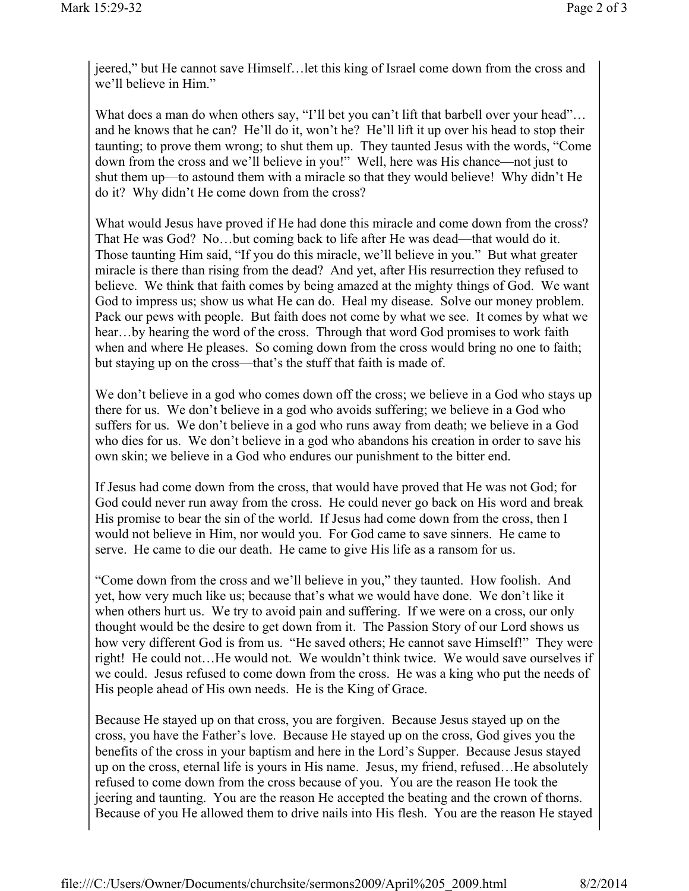jeered," but He cannot save Himself…let this king of Israel come down from the cross and we'll believe in Him."

What does a man do when others say, "I'll bet you can't lift that barbell over your head"... and he knows that he can? He'll do it, won't he? He'll lift it up over his head to stop their taunting; to prove them wrong; to shut them up. They taunted Jesus with the words, "Come down from the cross and we'll believe in you!" Well, here was His chance—not just to shut them up—to astound them with a miracle so that they would believe! Why didn't He do it? Why didn't He come down from the cross?

What would Jesus have proved if He had done this miracle and come down from the cross? That He was God? No…but coming back to life after He was dead—that would do it. Those taunting Him said, "If you do this miracle, we'll believe in you." But what greater miracle is there than rising from the dead? And yet, after His resurrection they refused to believe. We think that faith comes by being amazed at the mighty things of God. We want God to impress us; show us what He can do. Heal my disease. Solve our money problem. Pack our pews with people. But faith does not come by what we see. It comes by what we hear…by hearing the word of the cross. Through that word God promises to work faith when and where He pleases. So coming down from the cross would bring no one to faith; but staying up on the cross—that's the stuff that faith is made of.

We don't believe in a god who comes down off the cross; we believe in a God who stays up there for us. We don't believe in a god who avoids suffering; we believe in a God who suffers for us. We don't believe in a god who runs away from death; we believe in a God who dies for us. We don't believe in a god who abandons his creation in order to save his own skin; we believe in a God who endures our punishment to the bitter end.

If Jesus had come down from the cross, that would have proved that He was not God; for God could never run away from the cross. He could never go back on His word and break His promise to bear the sin of the world. If Jesus had come down from the cross, then I would not believe in Him, nor would you. For God came to save sinners. He came to serve. He came to die our death. He came to give His life as a ransom for us.

"Come down from the cross and we'll believe in you," they taunted. How foolish. And yet, how very much like us; because that's what we would have done. We don't like it when others hurt us. We try to avoid pain and suffering. If we were on a cross, our only thought would be the desire to get down from it. The Passion Story of our Lord shows us how very different God is from us. "He saved others; He cannot save Himself!" They were right! He could not…He would not. We wouldn't think twice. We would save ourselves if we could. Jesus refused to come down from the cross. He was a king who put the needs of His people ahead of His own needs. He is the King of Grace.

Because He stayed up on that cross, you are forgiven. Because Jesus stayed up on the cross, you have the Father's love. Because He stayed up on the cross, God gives you the benefits of the cross in your baptism and here in the Lord's Supper. Because Jesus stayed up on the cross, eternal life is yours in His name. Jesus, my friend, refused…He absolutely refused to come down from the cross because of you. You are the reason He took the jeering and taunting. You are the reason He accepted the beating and the crown of thorns. Because of you He allowed them to drive nails into His flesh. You are the reason He stayed